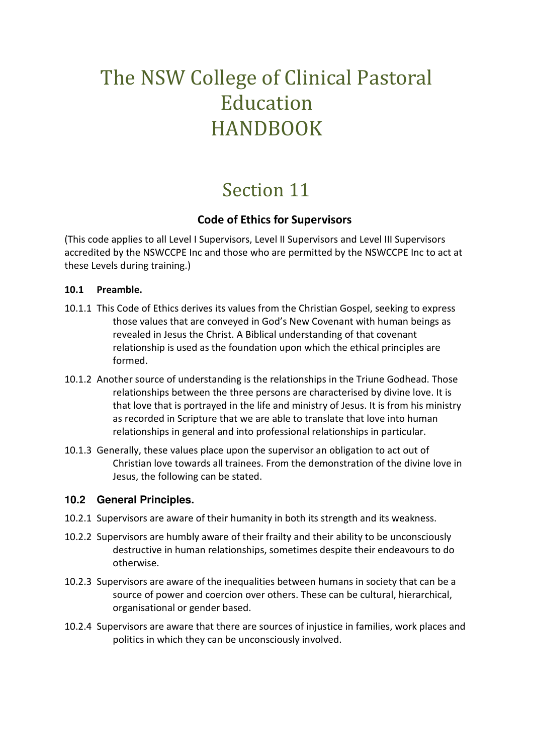# The NSW College of Clinical Pastoral Education HANDBOOK

# Section 11

# **Code of Ethics for Supervisors**

(This code applies to all Level I Supervisors, Level II Supervisors and Level III Supervisors accredited by the NSWCCPE Inc and those who are permitted by the NSWCCPE Inc to act at these Levels during training.)

## **10.1 Preamble.**

- 10.1.1 This Code of Ethics derives its values from the Christian Gospel, seeking to express those values that are conveyed in God's New Covenant with human beings as revealed in Jesus the Christ. A Biblical understanding of that covenant relationship is used as the foundation upon which the ethical principles are formed.
- 10.1.2 Another source of understanding is the relationships in the Triune Godhead. Those relationships between the three persons are characterised by divine love. It is that love that is portrayed in the life and ministry of Jesus. It is from his ministry as recorded in Scripture that we are able to translate that love into human relationships in general and into professional relationships in particular.
- 10.1.3 Generally, these values place upon the supervisor an obligation to act out of Christian love towards all trainees. From the demonstration of the divine love in Jesus, the following can be stated.

# **10.2 General Principles.**

- 10.2.1 Supervisors are aware of their humanity in both its strength and its weakness.
- 10.2.2 Supervisors are humbly aware of their frailty and their ability to be unconsciously destructive in human relationships, sometimes despite their endeavours to do otherwise.
- 10.2.3 Supervisors are aware of the inequalities between humans in society that can be a source of power and coercion over others. These can be cultural, hierarchical, organisational or gender based.
- 10.2.4 Supervisors are aware that there are sources of injustice in families, work places and politics in which they can be unconsciously involved.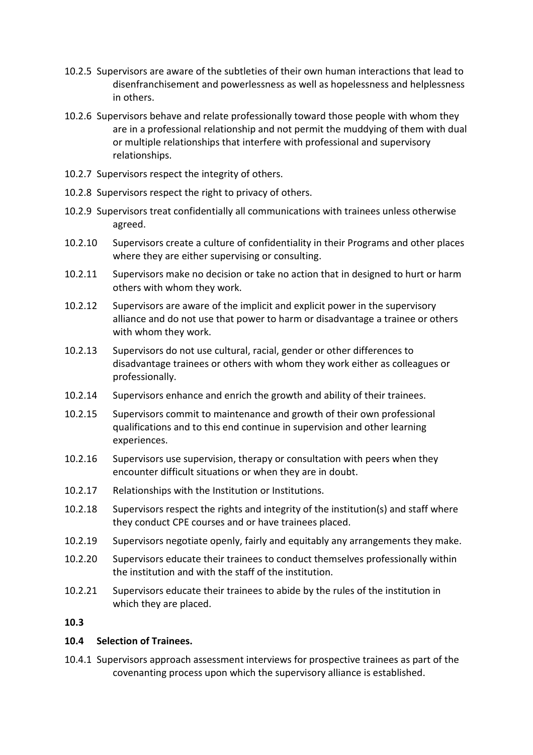- 10.2.5 Supervisors are aware of the subtleties of their own human interactions that lead to disenfranchisement and powerlessness as well as hopelessness and helplessness in others.
- 10.2.6 Supervisors behave and relate professionally toward those people with whom they are in a professional relationship and not permit the muddying of them with dual or multiple relationships that interfere with professional and supervisory relationships.
- 10.2.7 Supervisors respect the integrity of others.
- 10.2.8 Supervisors respect the right to privacy of others.
- 10.2.9 Supervisors treat confidentially all communications with trainees unless otherwise agreed.
- 10.2.10 Supervisors create a culture of confidentiality in their Programs and other places where they are either supervising or consulting.
- 10.2.11 Supervisors make no decision or take no action that in designed to hurt or harm others with whom they work.
- 10.2.12 Supervisors are aware of the implicit and explicit power in the supervisory alliance and do not use that power to harm or disadvantage a trainee or others with whom they work.
- 10.2.13 Supervisors do not use cultural, racial, gender or other differences to disadvantage trainees or others with whom they work either as colleagues or professionally.
- 10.2.14 Supervisors enhance and enrich the growth and ability of their trainees.
- 10.2.15 Supervisors commit to maintenance and growth of their own professional qualifications and to this end continue in supervision and other learning experiences.
- 10.2.16 Supervisors use supervision, therapy or consultation with peers when they encounter difficult situations or when they are in doubt.
- 10.2.17 Relationships with the Institution or Institutions.
- 10.2.18 Supervisors respect the rights and integrity of the institution(s) and staff where they conduct CPE courses and or have trainees placed.
- 10.2.19 Supervisors negotiate openly, fairly and equitably any arrangements they make.
- 10.2.20 Supervisors educate their trainees to conduct themselves professionally within the institution and with the staff of the institution.
- 10.2.21 Supervisors educate their trainees to abide by the rules of the institution in which they are placed.

# **10.3**

#### **10.4 Selection of Trainees.**

10.4.1 Supervisors approach assessment interviews for prospective trainees as part of the covenanting process upon which the supervisory alliance is established.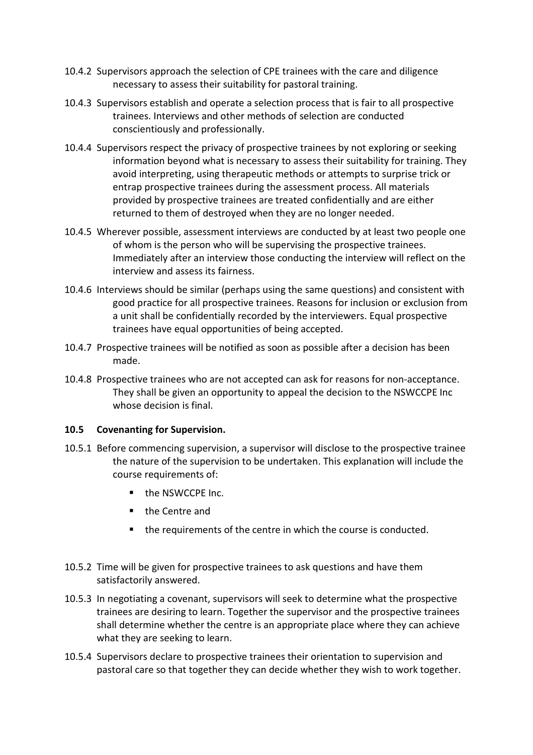- 10.4.2 Supervisors approach the selection of CPE trainees with the care and diligence necessary to assess their suitability for pastoral training.
- 10.4.3 Supervisors establish and operate a selection process that is fair to all prospective trainees. Interviews and other methods of selection are conducted conscientiously and professionally.
- 10.4.4 Supervisors respect the privacy of prospective trainees by not exploring or seeking information beyond what is necessary to assess their suitability for training. They avoid interpreting, using therapeutic methods or attempts to surprise trick or entrap prospective trainees during the assessment process. All materials provided by prospective trainees are treated confidentially and are either returned to them of destroyed when they are no longer needed.
- 10.4.5 Wherever possible, assessment interviews are conducted by at least two people one of whom is the person who will be supervising the prospective trainees. Immediately after an interview those conducting the interview will reflect on the interview and assess its fairness.
- 10.4.6 Interviews should be similar (perhaps using the same questions) and consistent with good practice for all prospective trainees. Reasons for inclusion or exclusion from a unit shall be confidentially recorded by the interviewers. Equal prospective trainees have equal opportunities of being accepted.
- 10.4.7 Prospective trainees will be notified as soon as possible after a decision has been made.
- 10.4.8 Prospective trainees who are not accepted can ask for reasons for non-acceptance. They shall be given an opportunity to appeal the decision to the NSWCCPE Inc whose decision is final.

#### **10.5 Covenanting for Supervision.**

- 10.5.1 Before commencing supervision, a supervisor will disclose to the prospective trainee the nature of the supervision to be undertaken. This explanation will include the course requirements of:
	- the NSWCCPE Inc.
	- **the Centre and**
	- **the requirements of the centre in which the course is conducted.**
- 10.5.2 Time will be given for prospective trainees to ask questions and have them satisfactorily answered.
- 10.5.3 In negotiating a covenant, supervisors will seek to determine what the prospective trainees are desiring to learn. Together the supervisor and the prospective trainees shall determine whether the centre is an appropriate place where they can achieve what they are seeking to learn.
- 10.5.4 Supervisors declare to prospective trainees their orientation to supervision and pastoral care so that together they can decide whether they wish to work together.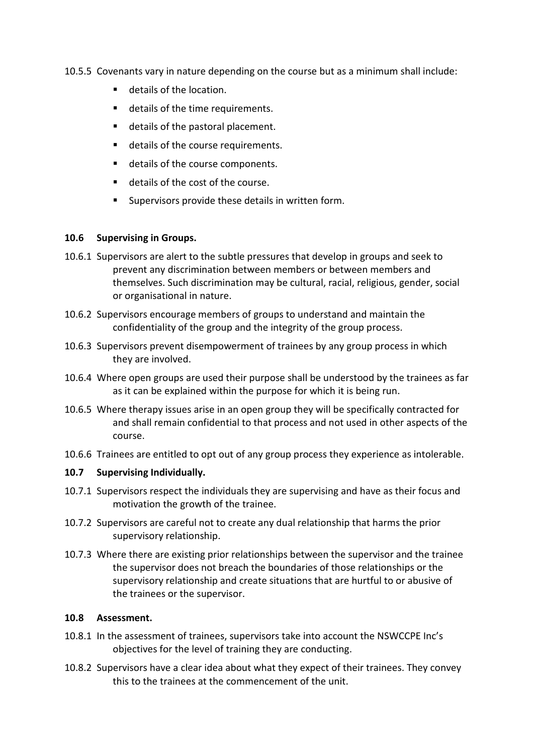- 10.5.5 Covenants vary in nature depending on the course but as a minimum shall include:
	- **details of the location.**
	- **details of the time requirements.**
	- **details of the pastoral placement.**
	- details of the course requirements.
	- details of the course components.
	- details of the cost of the course.
	- **Supervisors provide these details in written form.**

#### **10.6 Supervising in Groups.**

- 10.6.1 Supervisors are alert to the subtle pressures that develop in groups and seek to prevent any discrimination between members or between members and themselves. Such discrimination may be cultural, racial, religious, gender, social or organisational in nature.
- 10.6.2 Supervisors encourage members of groups to understand and maintain the confidentiality of the group and the integrity of the group process.
- 10.6.3 Supervisors prevent disempowerment of trainees by any group process in which they are involved.
- 10.6.4 Where open groups are used their purpose shall be understood by the trainees as far as it can be explained within the purpose for which it is being run.
- 10.6.5 Where therapy issues arise in an open group they will be specifically contracted for and shall remain confidential to that process and not used in other aspects of the course.
- 10.6.6 Trainees are entitled to opt out of any group process they experience as intolerable.

#### **10.7 Supervising Individually.**

- 10.7.1 Supervisors respect the individuals they are supervising and have as their focus and motivation the growth of the trainee.
- 10.7.2 Supervisors are careful not to create any dual relationship that harms the prior supervisory relationship.
- 10.7.3 Where there are existing prior relationships between the supervisor and the trainee the supervisor does not breach the boundaries of those relationships or the supervisory relationship and create situations that are hurtful to or abusive of the trainees or the supervisor.

#### **10.8 Assessment.**

- 10.8.1 In the assessment of trainees, supervisors take into account the NSWCCPE Inc's objectives for the level of training they are conducting.
- 10.8.2 Supervisors have a clear idea about what they expect of their trainees. They convey this to the trainees at the commencement of the unit.